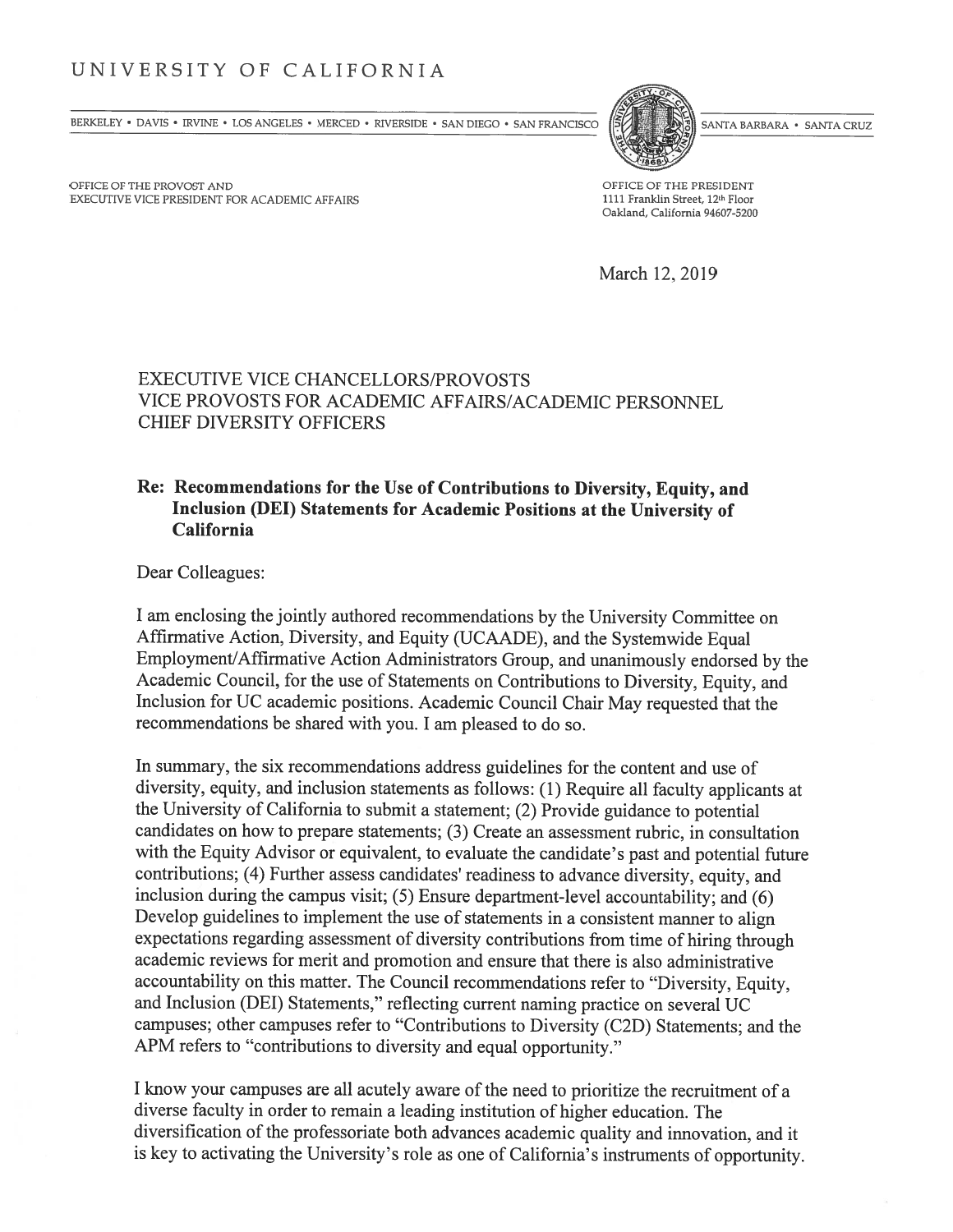## UNIVERSITY OF CALIFORNIA

BERKELEY • DAVIS • IRVINE • LOS ANGELES • MERCED • RIVERSIDE • SAN DIEGO • SAN FRANCISCO (SANTA BARBARA • SANTA CRUZ



OFFICE OF THE PROVOST AND OFFICE OF THE PRESIDENT EXECUTIVE VICE PRESIDENT FOR ACADEMIC AFFAIRS 1111 Franklin Street, 12<sup>th</sup> Floor

Oakland, California 94607-5200

March 12, 2019

## EXECUTIVE VICE CHANCELLORS/PROVOSTS VICE PROVOSTS FOR ACADEMIC AFFAIRS/ACADEMIC PERSONNEL CHIEF DIVERSITY OFFICERS

### Re: Recommendations for the Use of Contributions to Diversity, Equity, and Inclusion (DEl) Statements for Academic Positions at the University of California

Dear Colleagues:

<sup>I</sup> am enclosing the jointly authored recommendations by the University Committee on Affirmative Action, Diversity, and Equity (UCAADE), and the Systemwide Equal Employment/Affirmative Action Administrators Group, and unanimously endorsed by the Academic Council, for the use of Statements on Contributions to Diversity, Equity, and Inclusion for UC academic positions. Academic Council Chair May requested that the recommendations be shared with you. <sup>I</sup> am pleased to do so.

In summary, the six recommendations address guidelines for the content and use of diversity, equity, and inclusion statements as follows: (1) Require all faculty applicants at the University of California to submit a statement; (2) Provide guidance to potential candidates on how to prepare statements; (3) Create an assessment rubric, in consultation with the Equity Advisor or equivalent, to evaluate the candidate's past and potential future contributions; (4) Further assess candidates' readiness to advance diversity, equity, and inclusion during the campus visit; (5) Ensure department-level accountability; and (6) Develop guidelines to implement the use of statements in a consistent manner to align expectations regarding assessment of diversity contributions from time of hiring through academic reviews for merit and promotion and ensure that there is also administrative accountability on this matter. The Council recommendations refer to "Diversity, Equity, and Inclusion (DEl) Statements," reflecting current naming practice on several UC campuses; other campuses refer to "Contributions to Diversity (C2D) Statements; and the APM refers to "contributions to diversity and equal opportunity."

<sup>I</sup> know your campuses are all acutely aware of the need to prioritize the recruitment of a diverse faculty in order to remain a leading institution of higher education. The diversification of the professoriate both advances academic quality and innovation, and it is key to activating the University's role as one of California's instruments of opportunity.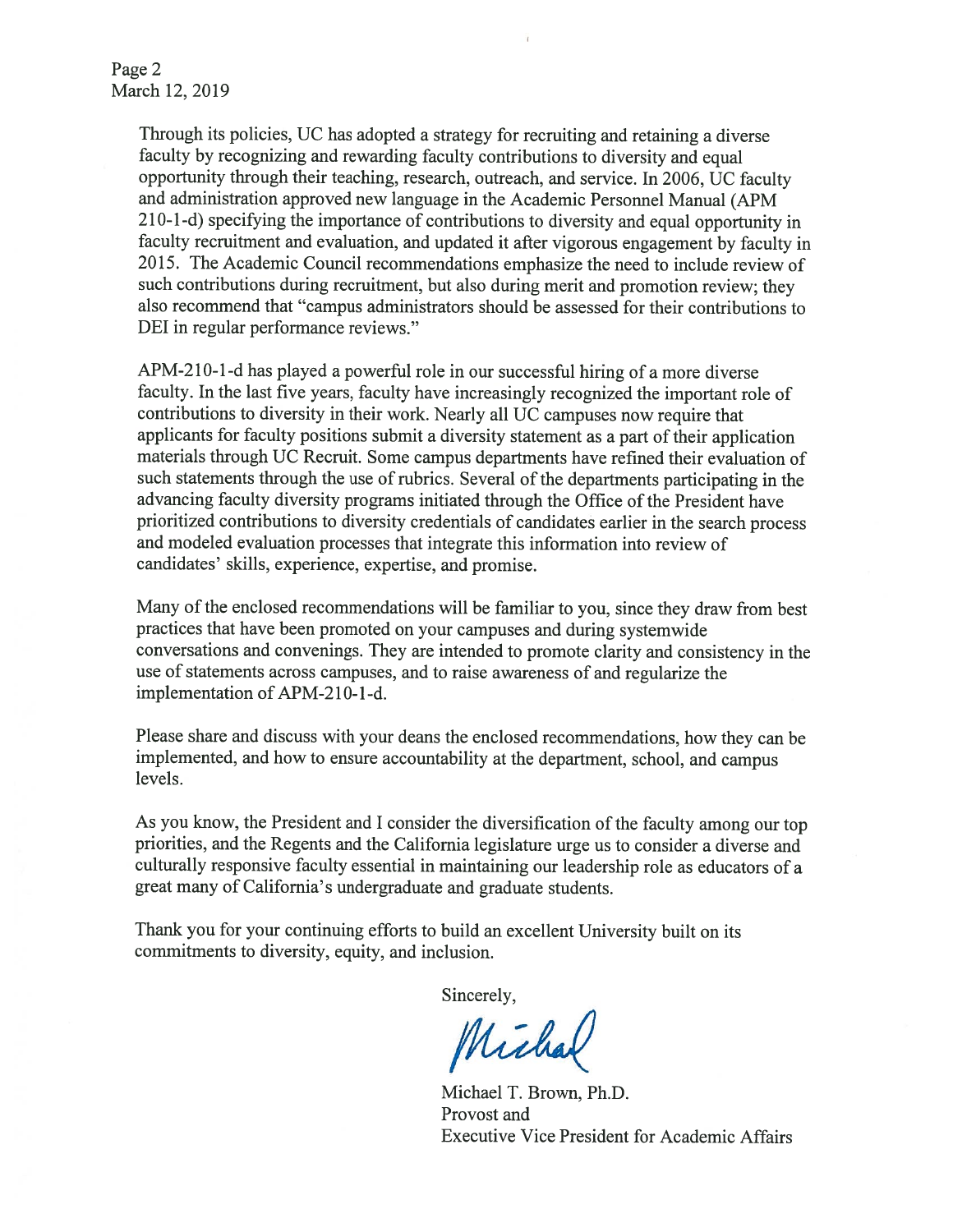Page 2 March 12, 2019

> Through its policies, UC has adopted <sup>a</sup> strategy for recruiting and retaining <sup>a</sup> diverse faculty by recognizing and rewarding faculty contributions to diversity and equa<sup>l</sup> opportunity through their teaching, research, outreach, and service. In 2006, UC faculty and administration approved new language in the Academic Personnel Manual (APM <sup>21</sup> 0-1-d) specifying the importance of contributions to diversity and equa<sup>l</sup> opportunity in faculty recruitment and evaluation, and updated it after vigorous engagement by faculty in 2015. The Academic Council recommendations emphasize the need to include review of such contributions during recruitment, but also during merit and promotion review; they also recommend that "campus administrators should be assessed for their contributions to DEl in regular performance reviews."

> APM-2 10-1 -d has <sup>p</sup>layed <sup>a</sup> powerful role in our successful hiring of <sup>a</sup> more diverse faculty. In the last five years, faculty have increasingly recognized the important role of contributions to diversity in their work. Nearly all UC campuses now require that applicants for faculty positions submit a diversity statement as a part of their application materials through UC Recruit. Some campus departments have refined their evaluation of such statements through the use of rubrics. Several of the departments participating in the advancing faculty diversity programs initiated through the Office of the President have prioritized contributions to diversity credentials of candidates earlier in the search process and modeled evaluation processes that integrate this information into review of candidates' skills, experience, expertise, and promise.

> Many of the enclosed recommendations will be familiar to you, since they draw from best practices that have been promoted on your campuses and during systemwide conversations and convenings. They are intended to promote clarity and consistency in the use of statements across campuses, and to raise awareness of and regularize the implementation of APM-210-1-d.

> Please share and discuss with your deans the enclosed recommendations, how they can be implemented, and how to ensure accountability at the department, school, and campus levels.

> As you know, the President and <sup>I</sup> consider the diversification of the faculty among our top priorities, and the Regents and the California legislature urge us to consider <sup>a</sup> diverse and culturally responsive faculty essential in maintaining our leadership role as educators of <sup>a</sup> great many of California's undergraduate and graduate students.

Thank you for your continuing efforts to build an excellent University built on its commitments to diversity, equity, and inclusion.

Sincerely,

Michal

Michael T. Brown, Ph.D. Provost and Executive Vice President for Academic Affairs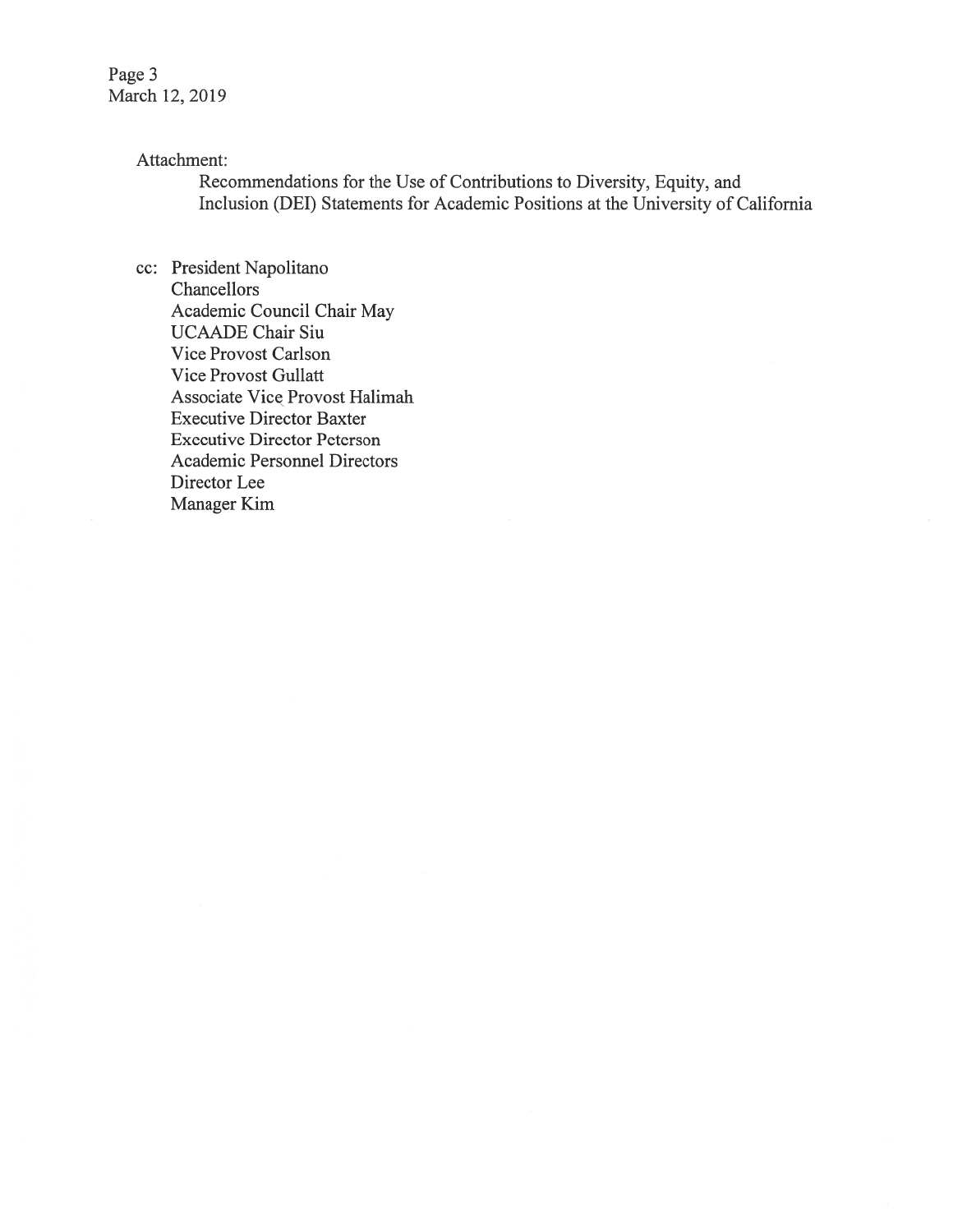Page 3 March 12, 2019

### Attachment:

Recommendations for the Use of Contributions to Diversity, Equity, and Inclusion (DEl) Statements for Academic Positions at the University of California

cc: President Napolitano Chancellors Academic Council Chair May UCAADE Chair Siu Vice Provost Carlson Vice Provost Gullatt Associate Vice Provost Halimah Executive Director Baxter Executive Director Peterson Academic Personnel Directors Director Lee Manager Kim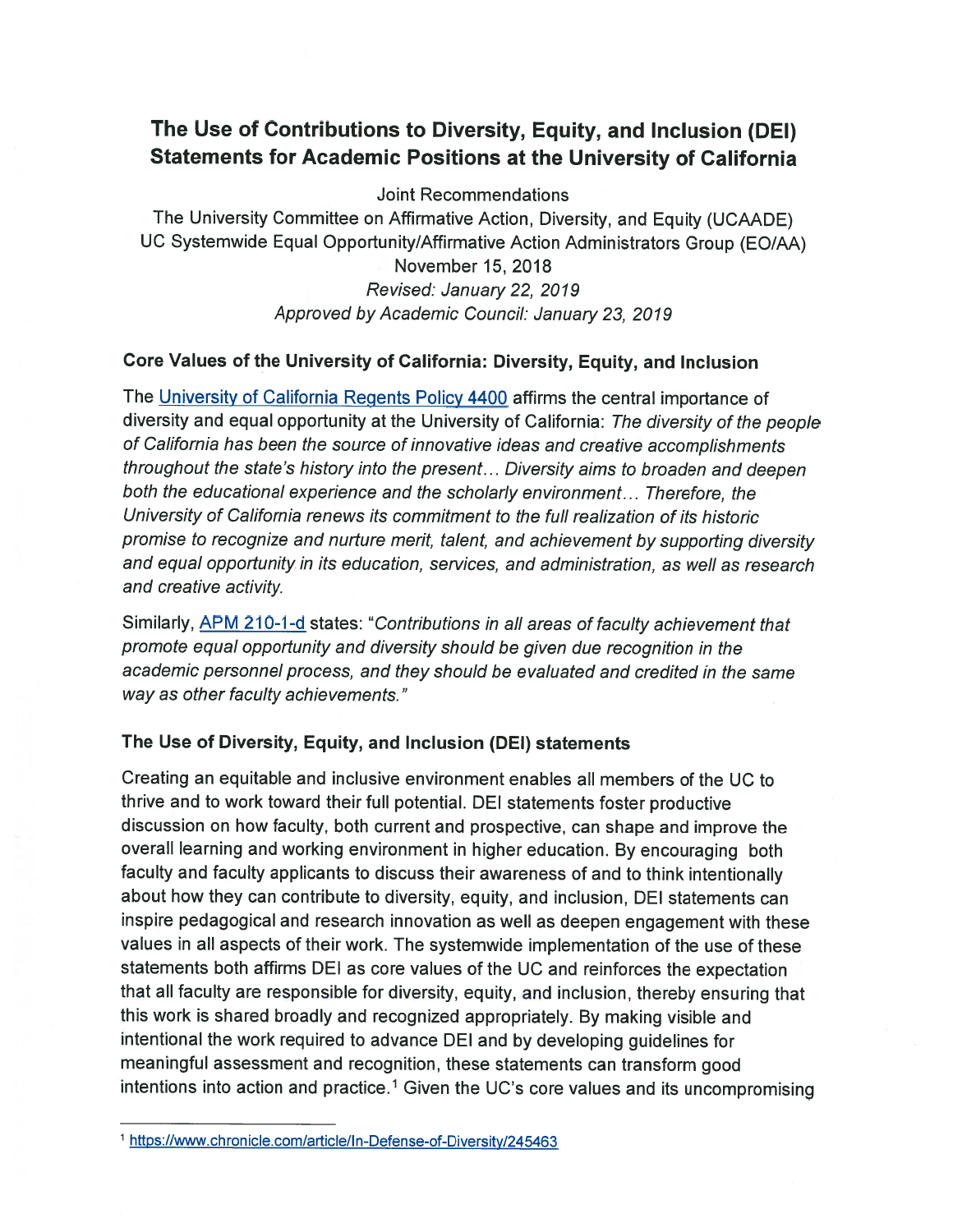# The Use of Contributions to Diversity, Equity, and Inclusion (DEl) Statements for Academic Positions at the University of California

Joint Recommendations

The University Committee on Affirmative Action, Diversity, and Equity (UCAADE) UC Systemwide Equal Opportunity/Affirmative Action Administrators Group (EO/AA) November 15, 2018 Revised: January 22, 2079 Approved by Academic Council: January 23, 2079

### Core Values of the University of California: Diversity, Equity, and Inclusion

The University of California Regents Policy 4400 affirms the central importance of diversity and equal opportunity at the University of California: The diversity of the people of California has been the source of innovative ideas and creative accomplishments throughout the state's history into the present... Diversity aims to broaden and deepen both the educational experience and the scholarly environment... Therefore, the University of California renews its commitment to the full realization of its historic promise to recognize and nurture merit, talent, and achievement by supporting diversity and equal opportunity in its education, services, and administration, as well as research and creative activity.

Similarly, APM 210-1-d states: "Contributions in all areas of faculty achievement that promote equal opportunity and diversity should be given due recognition in the academic personnel process, and they should be evaluated and credited in the same way as other faculty achievements."

### The Use of Diversity, Equity, and Inclusion (DEl) statements

Creating an equitable and inclusive environment enables all members of the UC to thrive and to work toward their full potential. DEI statements foster productive discussion on how faculty, both current and prospective, can shape and improve the overall learning and working environment in higher education. By encouraging both faculty and faculty applicants to discuss their awareness of and to think intentionally about how they can contribute to diversity, equity, and inclusion, DEl statements can inspire pedagogical and research innovation as well as deepen engagement with these values in all aspects of their work. The systemwide implementation of the use of these statements both affirms DEl as core values of the UC and reinforces the expectation that all faculty are responsible for diversity, equity, and inclusion, thereby ensuring that this work is shared broadly and recognized appropriately. By making visible and intentional the work required to advance DEl and by developing guidelines for meaningful assessment and recognition, these statements can transform good intentions into action and practice.<sup>1</sup> Given the UC's core values and its uncompromising

<sup>1</sup> https://www.chronicle.com/article/In-Defense-of-Diversity/245463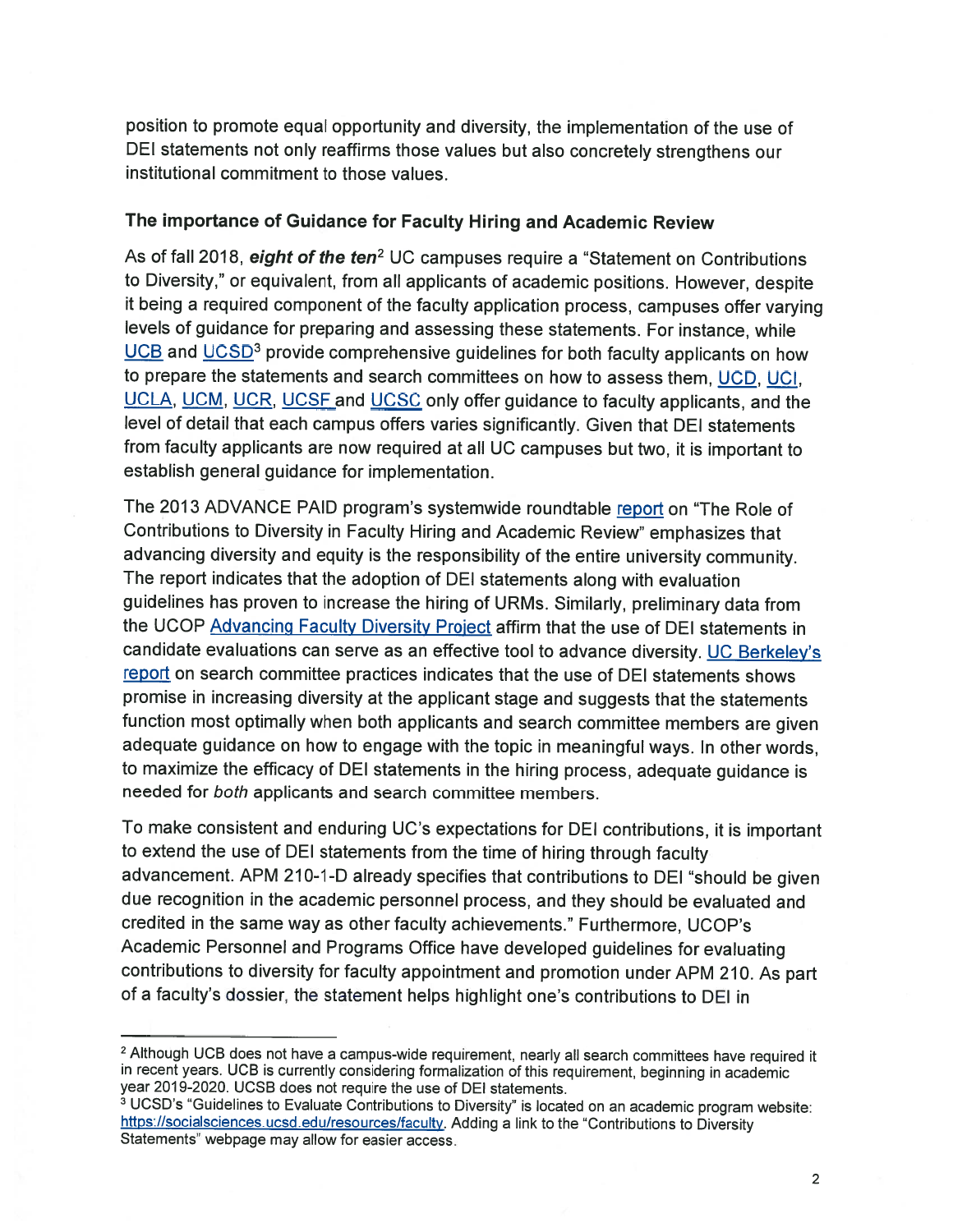position to promote equa<sup>l</sup> opportunity and diversity, the implementation of the use of DEl statements not only reaffirms those values but also concretely strengthens our institutional commitment to those values.

#### The importance of Guidance for Faculty Hiring and Academic Review

As of fall 2018, eight of the ten<sup>2</sup> UC campuses require a "Statement on Contributions to Diversity," or equivalent, from all applicants of academic positions. However, despite it being <sup>a</sup> required component of the faculty application process, campuses offer varying levels of guidance for preparing and assessing these statements. For instance, while UCB and UCSD<sup>3</sup> provide comprehensive guidelines for both faculty applicants on how to prepare the statements and search committees on how to assess them, UCD, UCI, UCLA, UCM, UCR, UCSF and UCSC only offer guidance to faculty applicants, and the level of detail that each campus offers varies significantly. Given that DEl statements from faculty applicants are now required at all UC campuses but two, it is important to establish general guidance for implementation.

The <sup>2013</sup> ADVANCE PAID program's systemwide roundtable report on "The Role of Contributions to Diversity in Faculty Hiring and Academic Review" emphasizes that advancing diversity and equity is the responsibility of the entire university community. The report indicates that the adoption of DEl statements along with evaluation guidelines has proven to increase the hiring of URMs. Similarly, preliminary data from the UCOP Advancing Faculty Diversity Project affirm that the use of DEl statements in candidate evaluations can serve as an effective tool to advance diversity. UC Berkeley's report on search committee practices indicates that the use of DEl statements shows promise in increasing diversity at the applicant stage and suggests that the statements function most optimally when both applicants and search committee members are <sup>g</sup>iven adequate guidance on how to engage with the topic in meaningful ways. In other words, to maximize the efficacy of DEl statements in the hiring process, adequate guidance is needed for both applicants and search committee members.

To make consistent and enduring UC's expectations for DEl contributions, it is important to extend the use of DEl statements from the time of hiring through faculty advancement. APM 210-1-D already specifies that contributions to DEl "should be <sup>g</sup>iven due recognition in the academic personnel process, and they should be evaluated and credited in the same way as other faculty achievements." Furthermore, UCOP's Academic Personnel and Programs Office have developed guidelines for evaluating contributions to diversity for faculty appointment and promotion under APM 210. As part of <sup>a</sup> faculty's dossier, the statement helps highlight one's contributions to DEl in

<sup>2</sup> Although UCB does not have a campus-wide requirement, nearly all search committees have required it in recent years. UCB is currently considering formalization of this requirement, beginning in academic year 2019-2020. UCSB does not require the use of DEl statements.

<sup>&</sup>lt;sup>3</sup> UCSD's "Guidelines to Evaluate Contributions to Diversity" is located on an academic program website: https://socialsciences.ucsd.edu/resources/faculty</u>. Adding a link to the "Contributions to Diversity Statements" webpage may allow for easier access.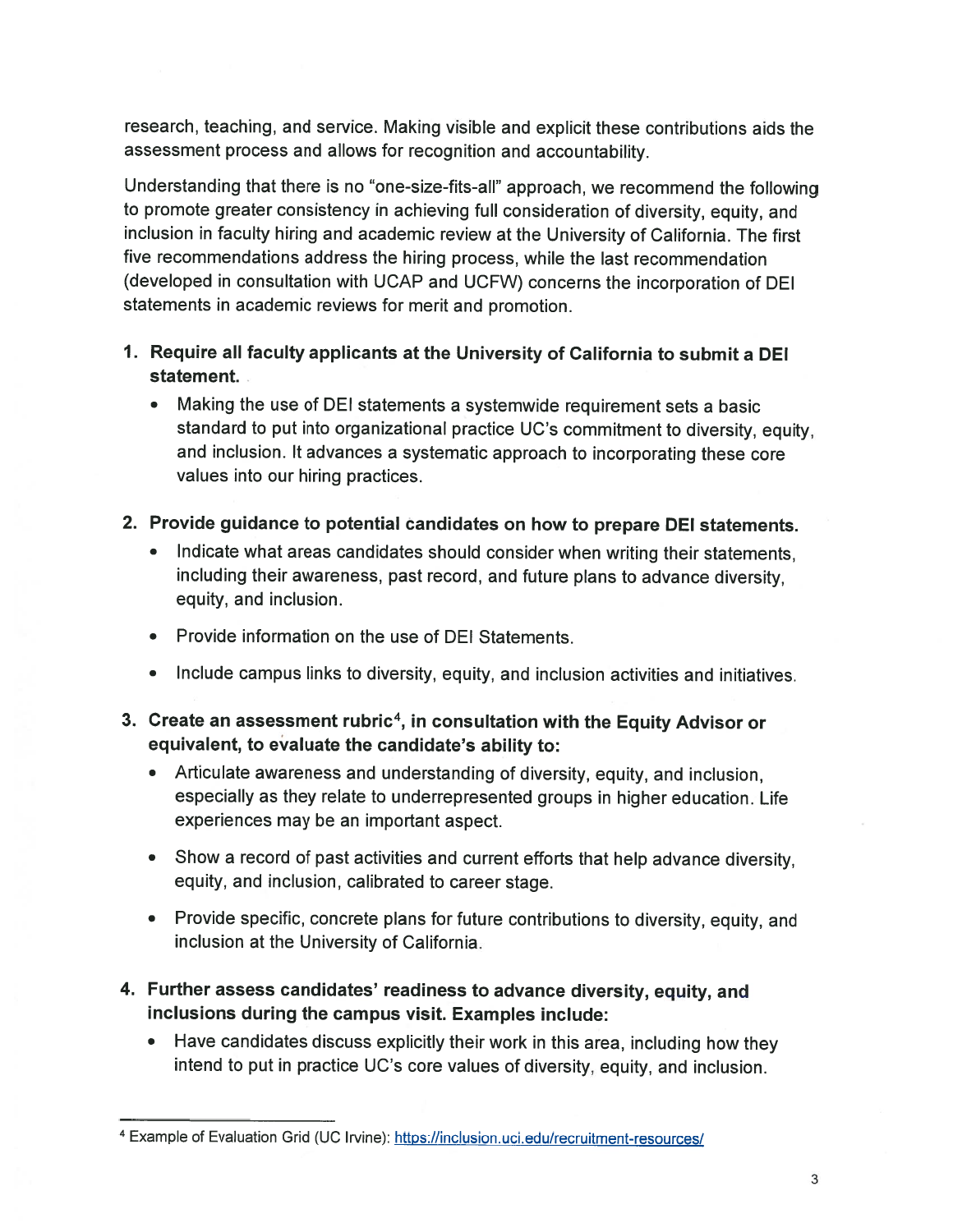research, teaching, and service. Making visible and explicit these contributions aids the assessment process and allows for recognition and accountability.

Understanding that there is no "one-size-fits-all" approach, we recommend the following to promote greater consistency in achieving full consideration of diversity, equity, and inclusion in faculty hiring and academic review at the University of California. The first five recommendations address the hiring process, while the last recommendation (developed in consultation with UCAP and UCFW) concerns the incorporation of DEl statements in academic reviews for merit and promotion.

- 1. Require all faculty applicants at the University of California to submit <sup>a</sup> DEl statement.
	- Making the use of DEl statements <sup>a</sup> systemwide requirement sets <sup>a</sup> basic standard to put into organizational practice UC's commitment to diversity, equity, and inclusion. It advances <sup>a</sup> systematic approach to incorporating these core values into our hiring practices.
- 2. Provide guidance to potential candidates on how to prepare DEl statements.
	- • Indicate what areas candidates should consider when writing their statements, including their awareness, past record, and future <sup>p</sup>lans to advance diversity, equity, and inclusion.
	- Provide information on the use of DEl Statements.
	- Include campus links to diversity, equity, and inclusion activities and initiatives.
- 3. Create an assessment rubric<sup>4</sup>, in consultation with the Equity Advisor or equivalent, to evaluate the candidate's ability to:
	- Articulate awareness and understanding of diversity, equity, and inclusion, especially as they relate to underrepresented groups in higher education. Life experiences may be an important aspect.
	- Show <sup>a</sup> record of past activities and current efforts that help advance diversity, equity, and inclusion, calibrated to career stage.
	- Provide specific, concrete <sup>p</sup>lans for future contributions to diversity, equity, and inclusion at the University of California.
- 4. Further assess candidates' readiness to advance diversity, equity, and inclusions during the campus visit. Examples include:
	- • Have candidates discuss explicitly their work in this area, including how they intend to put in practice UC's core values of diversity, equity, and inclusion.

<sup>&</sup>lt;sup>4</sup> Example of Evaluation Grid (UC Irvine): https://inclusion.uci.edu/recruitment-resources/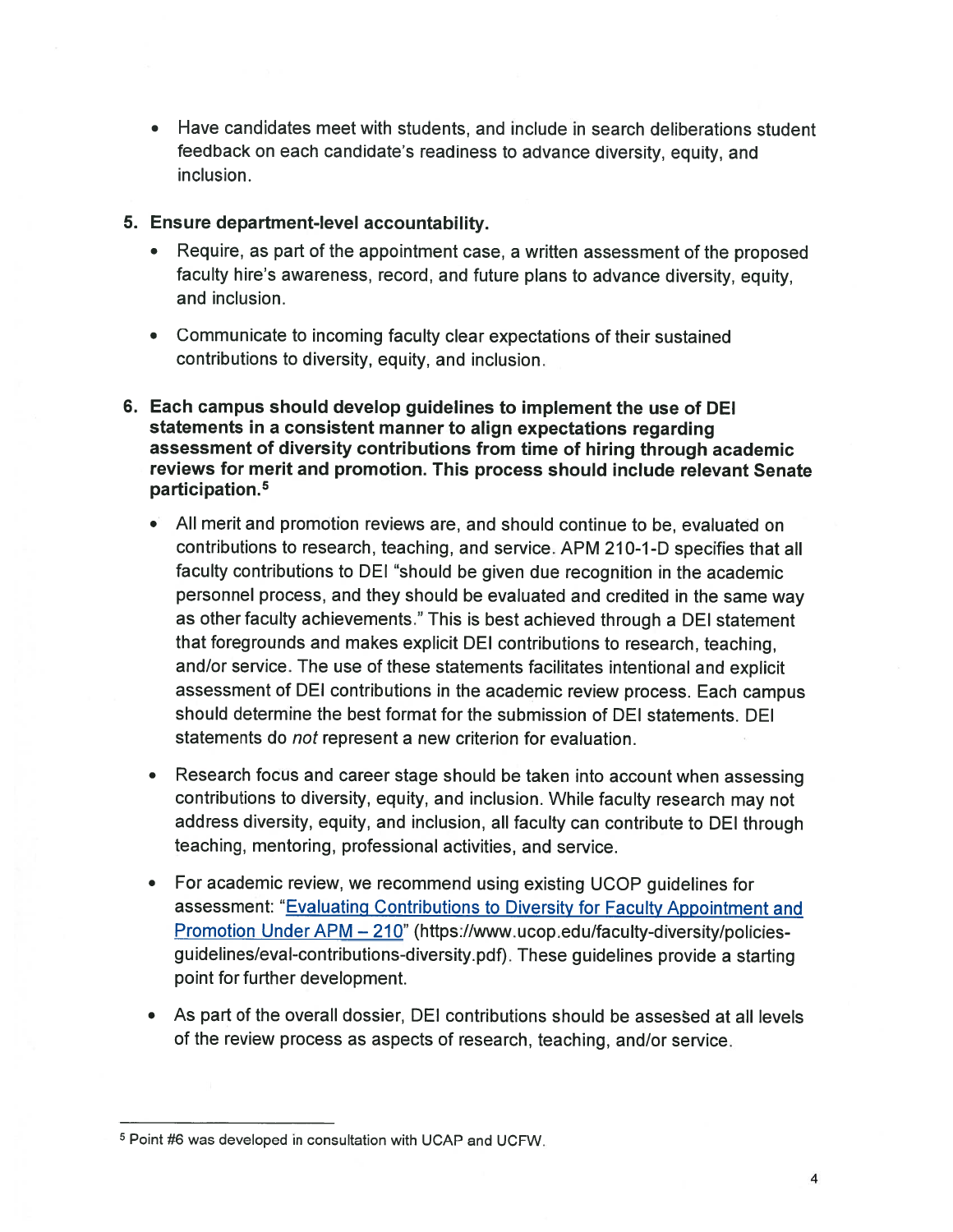- Have candidates meet with students, and include in search deliberations student feedback on each candidate's readiness to advance diversity, equity, and inclusion.
- 5. Ensure department-level accountability.
	- Require, as part of the appointment case, a written assessment of the proposed faculty hire's awareness, record, and future plans to advance diversity, equity, and inclusion.
	- Communicate to incoming faculty clear expectations of their sustained contributions to diversity, equity, and inclusion.
- 6. Each campus should develop guidelines to implement the use of DEl statements in a consistent manner to align expectations regarding assessment of diversity contributions from time of hiring through academic reviews for merit and promotion. This process should include relevant Senate participation.5
	- All merit and promotion reviews are, and should continue to be, evaluated on contributions to research, teaching, and service. APM 210-1-D specifies that all faculty contributions to DEl "should be given due recognition in the academic personnel process, and they should be evaluated and credited in the same way as other faculty achievements." This is best achieved through a DEl statement that foregrounds and makes explicit DEl contributions to research, teaching, and/or service. The use of these statements facilitates intentional and explicit assessment of DEl contributions in the academic review process. Each campus should determine the best format for the submission of DEl statements. DEl statements do not represent a new criterion for evaluation.
	- Research focus and career stage should be taken into account when assessing contributions to diversity, equity, and inclusion. While faculty research may not address diversity, equity, and inclusion, all faculty can contribute to DEl through teaching, mentoring, professional activities, and service.
	- For academic review, we recommend using existing UCOP guidelines for assessment: "Evaluating Contributions to Diversity for Faculty Appointment and Promotion Under APM - 210" (https://www.ucop.edu/faculty-diversity/policiesguidelines/eval-contributions-diversity.pdf). These guidelines provide a starting point for further development.
	- As part of the overall dossier, DEl contributions should be assessed at all levels of the review process as aspects of research, teaching, and/or service.

<sup>&</sup>lt;sup>5</sup> Point #6 was developed in consultation with UCAP and UCFW.